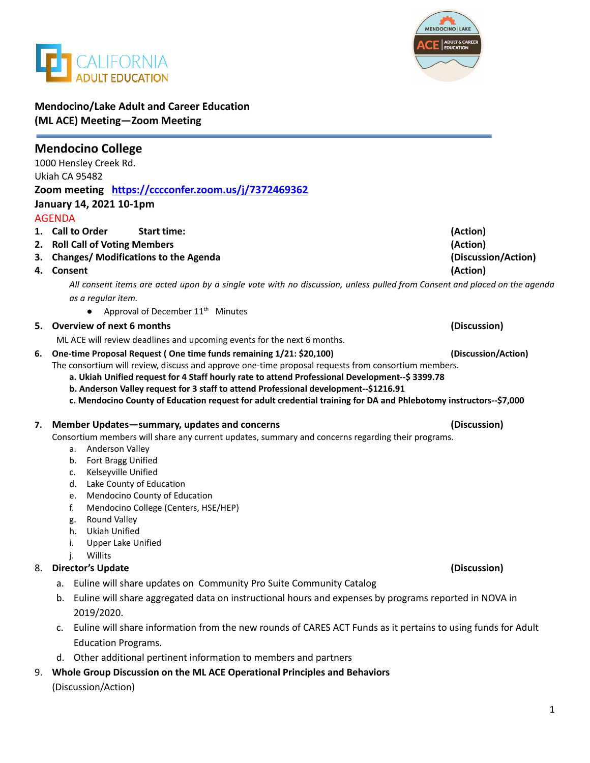



## **Mendocino/Lake Adult and Career Education (ML ACE) Meeting—Zoom Meeting**

|    | <b>Mendocino College</b>                                                                                                  |                     |
|----|---------------------------------------------------------------------------------------------------------------------------|---------------------|
|    | 1000 Hensley Creek Rd.                                                                                                    |                     |
|    | Ukiah CA 95482                                                                                                            |                     |
|    | Zoom meeting https://cccconfer.zoom.us/j/7372469362                                                                       |                     |
|    | January 14, 2021 10-1pm                                                                                                   |                     |
|    | <b>AGENDA</b>                                                                                                             |                     |
|    | 1. Call to Order<br><b>Start time:</b>                                                                                    | (Action)            |
|    | 2. Roll Call of Voting Members                                                                                            | (Action)            |
|    | 3. Changes/ Modifications to the Agenda                                                                                   | (Discussion/Action) |
| 4. | Consent                                                                                                                   | (Action)            |
|    | All consent items are acted upon by a single vote with no discussion, unless pulled from Consent and placed on the agenda |                     |
|    | as a regular item.                                                                                                        |                     |
|    | Approval of December 11 <sup>th</sup> Minutes                                                                             |                     |
|    | 5. Overview of next 6 months                                                                                              | (Discussion)        |
|    | ML ACE will review deadlines and upcoming events for the next 6 months.                                                   |                     |
| 6. | One-time Proposal Request (One time funds remaining 1/21: \$20,100)                                                       | (Discussion/Action) |
|    | The consortium will review, discuss and approve one-time proposal requests from consortium members.                       |                     |
|    | a. Ukiah Unified request for 4 Staff hourly rate to attend Professional Development--\$ 3399.78                           |                     |
|    | b. Anderson Valley request for 3 staff to attend Professional development--\$1216.91                                      |                     |
|    | c. Mendocino County of Education request for adult credential training for DA and Phlebotomy instructors--\$7,000         |                     |
|    |                                                                                                                           |                     |
|    |                                                                                                                           |                     |
| 7. | Member Updates-summary, updates and concerns                                                                              | (Discussion)        |
|    | Consortium members will share any current updates, summary and concerns regarding their programs.<br>а.                   |                     |
|    | Anderson Valley<br>b.                                                                                                     |                     |
|    | Fort Bragg Unified<br>Kelseyville Unified<br>c.                                                                           |                     |
|    | Lake County of Education<br>d.                                                                                            |                     |
|    | Mendocino County of Education<br>e.                                                                                       |                     |
|    | Mendocino College (Centers, HSE/HEP)<br>f.                                                                                |                     |
|    | Round Valley<br>g.                                                                                                        |                     |
|    | <b>Ukiah Unified</b><br>h.                                                                                                |                     |
|    | <b>Upper Lake Unified</b><br>i.                                                                                           |                     |
|    | Willits<br>j.                                                                                                             |                     |
|    | 8. Director's Update                                                                                                      | (Discussion)        |
|    | Euline will share updates on Community Pro Suite Community Catalog<br>a.                                                  |                     |
|    | Euline will share aggregated data on instructional hours and expenses by programs reported in NOVA in<br>b.               |                     |
|    | 2019/2020.                                                                                                                |                     |
|    | Euline will share information from the new rounds of CARES ACT Funds as it pertains to using funds for Adult<br>c.        |                     |
|    | <b>Education Programs.</b>                                                                                                |                     |
|    | d. Other additional pertinent information to members and partners                                                         |                     |

(Discussion/Action)